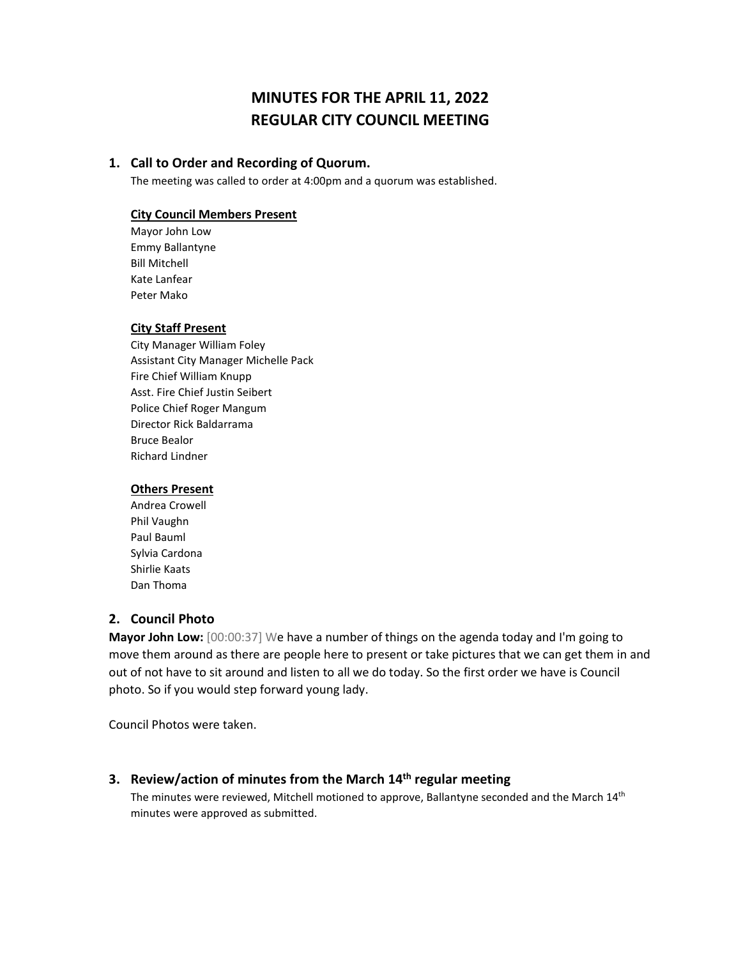# **MINUTES FOR THE APRIL 11, 2022 REGULAR CITY COUNCIL MEETING**

### **1. Call to Order and Recording of Quorum.**

The meeting was called to order at 4:00pm and a quorum was established.

### **City Council Members Present**

Mayor John Low Emmy Ballantyne Bill Mitchell Kate Lanfear Peter Mako

### **City Staff Present**

City Manager William Foley Assistant City Manager Michelle Pack Fire Chief William Knupp Asst. Fire Chief Justin Seibert Police Chief Roger Mangum Director Rick Baldarrama Bruce Bealor Richard Lindner

#### **Others Present**

Andrea Crowell Phil Vaughn Paul Bauml Sylvia Cardona Shirlie Kaats Dan Thoma

# **2. Council Photo**

**Mayor John Low:** [00:00:37] We have a number of things on the agenda today and I'm going to move them around as there are people here to present or take pictures that we can get them in and out of not have to sit around and listen to all we do today. So the first order we have is Council photo. So if you would step forward young lady.

Council Photos were taken.

## **3. Review/action of minutes from the March 14th regular meeting**

The minutes were reviewed, Mitchell motioned to approve, Ballantyne seconded and the March 14<sup>th</sup> minutes were approved as submitted.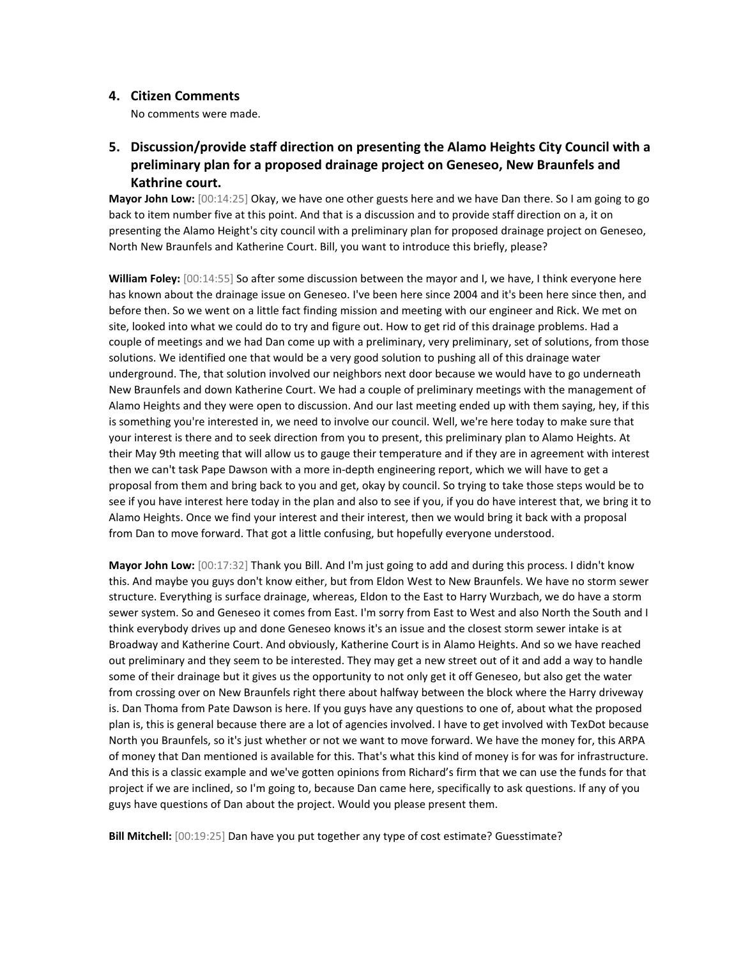### **4. Citizen Comments**

No comments were made.

# **5. Discussion/provide staff direction on presenting the Alamo Heights City Council with a preliminary plan for a proposed drainage project on Geneseo, New Braunfels and Kathrine court.**

**Mayor John Low:** [00:14:25] Okay, we have one other guests here and we have Dan there. So I am going to go back to item number five at this point. And that is a discussion and to provide staff direction on a, it on presenting the Alamo Height's city council with a preliminary plan for proposed drainage project on Geneseo, North New Braunfels and Katherine Court. Bill, you want to introduce this briefly, please?

**William Foley:** [00:14:55] So after some discussion between the mayor and I, we have, I think everyone here has known about the drainage issue on Geneseo. I've been here since 2004 and it's been here since then, and before then. So we went on a little fact finding mission and meeting with our engineer and Rick. We met on site, looked into what we could do to try and figure out. How to get rid of this drainage problems. Had a couple of meetings and we had Dan come up with a preliminary, very preliminary, set of solutions, from those solutions. We identified one that would be a very good solution to pushing all of this drainage water underground. The, that solution involved our neighbors next door because we would have to go underneath New Braunfels and down Katherine Court. We had a couple of preliminary meetings with the management of Alamo Heights and they were open to discussion. And our last meeting ended up with them saying, hey, if this is something you're interested in, we need to involve our council. Well, we're here today to make sure that your interest is there and to seek direction from you to present, this preliminary plan to Alamo Heights. At their May 9th meeting that will allow us to gauge their temperature and if they are in agreement with interest then we can't task Pape Dawson with a more in-depth engineering report, which we will have to get a proposal from them and bring back to you and get, okay by council. So trying to take those steps would be to see if you have interest here today in the plan and also to see if you, if you do have interest that, we bring it to Alamo Heights. Once we find your interest and their interest, then we would bring it back with a proposal from Dan to move forward. That got a little confusing, but hopefully everyone understood.

**Mayor John Low:** [00:17:32] Thank you Bill. And I'm just going to add and during this process. I didn't know this. And maybe you guys don't know either, but from Eldon West to New Braunfels. We have no storm sewer structure. Everything is surface drainage, whereas, Eldon to the East to Harry Wurzbach, we do have a storm sewer system. So and Geneseo it comes from East. I'm sorry from East to West and also North the South and I think everybody drives up and done Geneseo knows it's an issue and the closest storm sewer intake is at Broadway and Katherine Court. And obviously, Katherine Court is in Alamo Heights. And so we have reached out preliminary and they seem to be interested. They may get a new street out of it and add a way to handle some of their drainage but it gives us the opportunity to not only get it off Geneseo, but also get the water from crossing over on New Braunfels right there about halfway between the block where the Harry driveway is. Dan Thoma from Pate Dawson is here. If you guys have any questions to one of, about what the proposed plan is, this is general because there are a lot of agencies involved. I have to get involved with TexDot because North you Braunfels, so it's just whether or not we want to move forward. We have the money for, this ARPA of money that Dan mentioned is available for this. That's what this kind of money is for was for infrastructure. And this is a classic example and we've gotten opinions from Richard's firm that we can use the funds for that project if we are inclined, so I'm going to, because Dan came here, specifically to ask questions. If any of you guys have questions of Dan about the project. Would you please present them.

**Bill Mitchell:** [00:19:25] Dan have you put together any type of cost estimate? Guesstimate?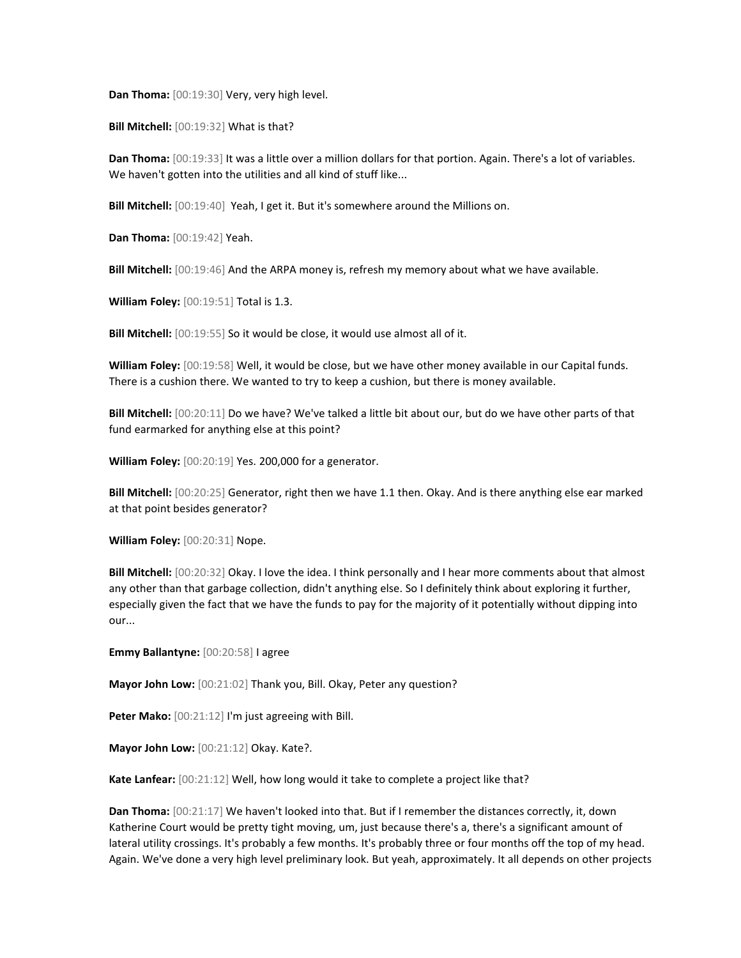**Dan Thoma:** [00:19:30] Very, very high level.

**Bill Mitchell:** [00:19:32] What is that?

**Dan Thoma:** [00:19:33] It was a little over a million dollars for that portion. Again. There's a lot of variables. We haven't gotten into the utilities and all kind of stuff like...

**Bill Mitchell:** [00:19:40] Yeah, I get it. But it's somewhere around the Millions on.

**Dan Thoma:** [00:19:42] Yeah.

**Bill Mitchell:** [00:19:46] And the ARPA money is, refresh my memory about what we have available.

**William Foley:** [00:19:51] Total is 1.3.

**Bill Mitchell:** [00:19:55] So it would be close, it would use almost all of it.

**William Foley:** [00:19:58] Well, it would be close, but we have other money available in our Capital funds. There is a cushion there. We wanted to try to keep a cushion, but there is money available.

**Bill Mitchell:** [00:20:11] Do we have? We've talked a little bit about our, but do we have other parts of that fund earmarked for anything else at this point?

**William Foley:** [00:20:19] Yes. 200,000 for a generator.

**Bill Mitchell:** [00:20:25] Generator, right then we have 1.1 then. Okay. And is there anything else ear marked at that point besides generator?

**William Foley:** [00:20:31] Nope.

**Bill Mitchell:** [00:20:32] Okay. I love the idea. I think personally and I hear more comments about that almost any other than that garbage collection, didn't anything else. So I definitely think about exploring it further, especially given the fact that we have the funds to pay for the majority of it potentially without dipping into our...

**Emmy Ballantyne:** [00:20:58] I agree

**Mayor John Low:** [00:21:02] Thank you, Bill. Okay, Peter any question?

**Peter Mako:** [00:21:12] I'm just agreeing with Bill.

**Mayor John Low:** [00:21:12] Okay. Kate?.

**Kate Lanfear:** [00:21:12] Well, how long would it take to complete a project like that?

**Dan Thoma:** [00:21:17] We haven't looked into that. But if I remember the distances correctly, it, down Katherine Court would be pretty tight moving, um, just because there's a, there's a significant amount of lateral utility crossings. It's probably a few months. It's probably three or four months off the top of my head. Again. We've done a very high level preliminary look. But yeah, approximately. It all depends on other projects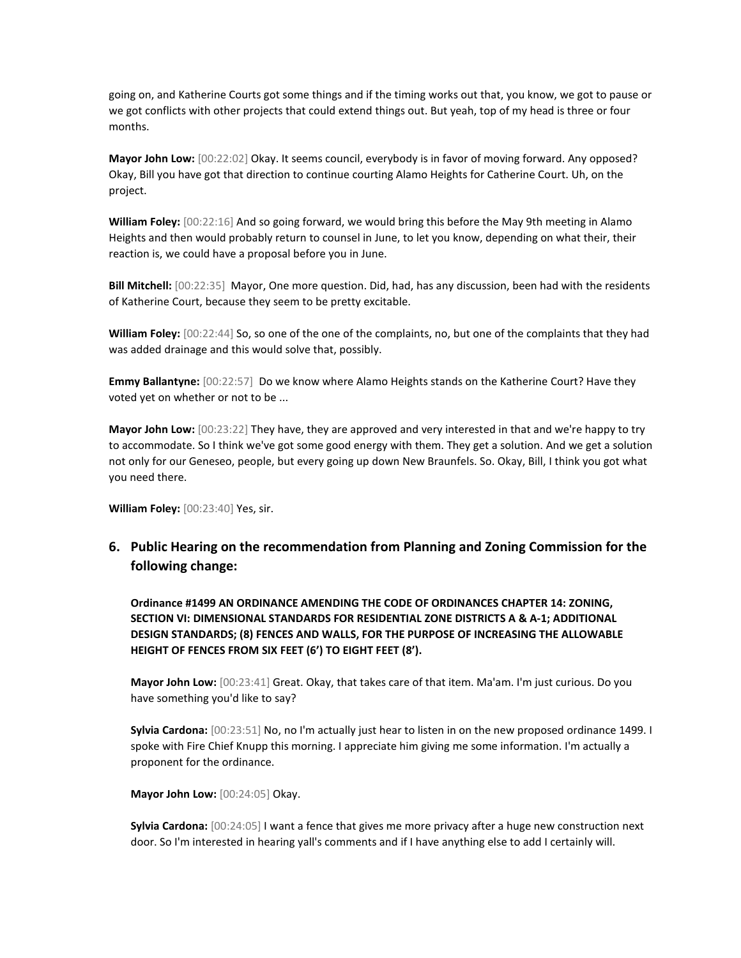going on, and Katherine Courts got some things and if the timing works out that, you know, we got to pause or we got conflicts with other projects that could extend things out. But yeah, top of my head is three or four months.

**Mayor John Low:** [00:22:02] Okay. It seems council, everybody is in favor of moving forward. Any opposed? Okay, Bill you have got that direction to continue courting Alamo Heights for Catherine Court. Uh, on the project.

**William Foley:** [00:22:16] And so going forward, we would bring this before the May 9th meeting in Alamo Heights and then would probably return to counsel in June, to let you know, depending on what their, their reaction is, we could have a proposal before you in June.

**Bill Mitchell:** [00:22:35] Mayor, One more question. Did, had, has any discussion, been had with the residents of Katherine Court, because they seem to be pretty excitable.

**William Foley:** [00:22:44] So, so one of the one of the complaints, no, but one of the complaints that they had was added drainage and this would solve that, possibly.

**Emmy Ballantyne:** [00:22:57] Do we know where Alamo Heights stands on the Katherine Court? Have they voted yet on whether or not to be ...

**Mayor John Low:** [00:23:22] They have, they are approved and very interested in that and we're happy to try to accommodate. So I think we've got some good energy with them. They get a solution. And we get a solution not only for our Geneseo, people, but every going up down New Braunfels. So. Okay, Bill, I think you got what you need there.

**William Foley:** [00:23:40] Yes, sir.

**6. Public Hearing on the recommendation from Planning and Zoning Commission for the following change:**

**Ordinance #1499 AN ORDINANCE AMENDING THE CODE OF ORDINANCES CHAPTER 14: ZONING, SECTION VI: DIMENSIONAL STANDARDS FOR RESIDENTIAL ZONE DISTRICTS A & A-1; ADDITIONAL DESIGN STANDARDS; (8) FENCES AND WALLS, FOR THE PURPOSE OF INCREASING THE ALLOWABLE HEIGHT OF FENCES FROM SIX FEET (6') TO EIGHT FEET (8').**

**Mayor John Low:** [00:23:41] Great. Okay, that takes care of that item. Ma'am. I'm just curious. Do you have something you'd like to say?

**Sylvia Cardona:** [00:23:51] No, no I'm actually just hear to listen in on the new proposed ordinance 1499. I spoke with Fire Chief Knupp this morning. I appreciate him giving me some information. I'm actually a proponent for the ordinance.

**Mayor John Low:** [00:24:05] Okay.

**Sylvia Cardona:** [00:24:05] I want a fence that gives me more privacy after a huge new construction next door. So I'm interested in hearing yall's comments and if I have anything else to add I certainly will.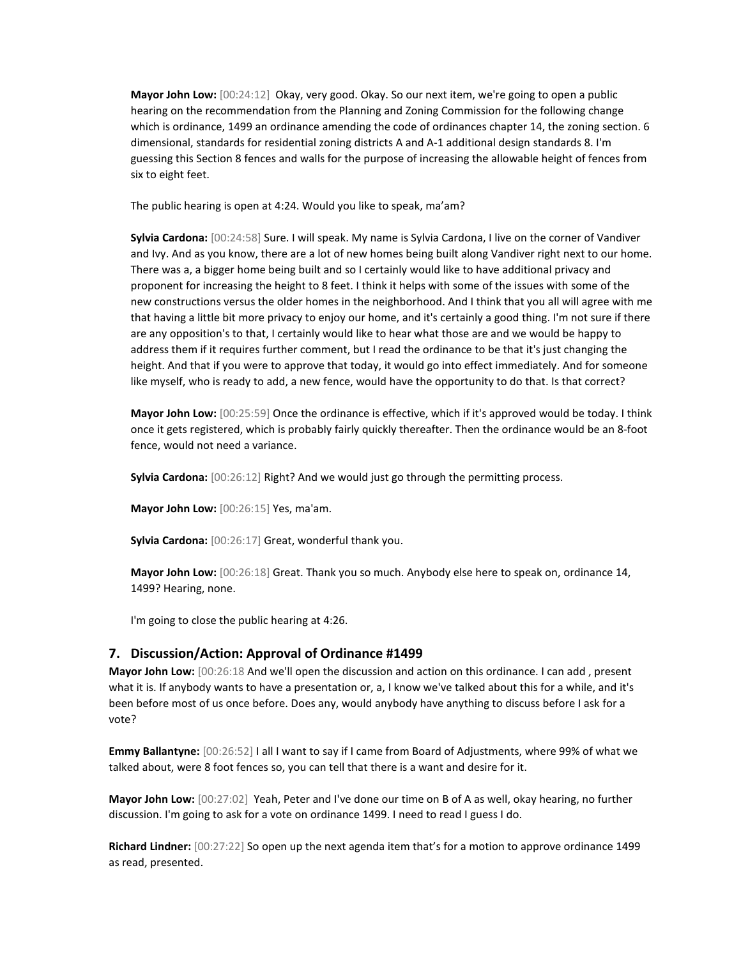**Mayor John Low:** [00:24:12] Okay, very good. Okay. So our next item, we're going to open a public hearing on the recommendation from the Planning and Zoning Commission for the following change which is ordinance, 1499 an ordinance amending the code of ordinances chapter 14, the zoning section. 6 dimensional, standards for residential zoning districts A and A-1 additional design standards 8. I'm guessing this Section 8 fences and walls for the purpose of increasing the allowable height of fences from six to eight feet.

The public hearing is open at 4:24. Would you like to speak, ma'am?

**Sylvia Cardona:** [00:24:58] Sure. I will speak. My name is Sylvia Cardona, I live on the corner of Vandiver and Ivy. And as you know, there are a lot of new homes being built along Vandiver right next to our home. There was a, a bigger home being built and so I certainly would like to have additional privacy and proponent for increasing the height to 8 feet. I think it helps with some of the issues with some of the new constructions versus the older homes in the neighborhood. And I think that you all will agree with me that having a little bit more privacy to enjoy our home, and it's certainly a good thing. I'm not sure if there are any opposition's to that, I certainly would like to hear what those are and we would be happy to address them if it requires further comment, but I read the ordinance to be that it's just changing the height. And that if you were to approve that today, it would go into effect immediately. And for someone like myself, who is ready to add, a new fence, would have the opportunity to do that. Is that correct?

**Mayor John Low:** [00:25:59] Once the ordinance is effective, which if it's approved would be today. I think once it gets registered, which is probably fairly quickly thereafter. Then the ordinance would be an 8-foot fence, would not need a variance.

**Sylvia Cardona:** [00:26:12] Right? And we would just go through the permitting process.

**Mayor John Low:** [00:26:15] Yes, ma'am.

**Sylvia Cardona:** [00:26:17] Great, wonderful thank you.

**Mayor John Low:** [00:26:18] Great. Thank you so much. Anybody else here to speak on, ordinance 14, 1499? Hearing, none.

I'm going to close the public hearing at 4:26.

#### **7. Discussion/Action: Approval of Ordinance #1499**

**Mayor John Low:** [00:26:18 And we'll open the discussion and action on this ordinance. I can add , present what it is. If anybody wants to have a presentation or, a, I know we've talked about this for a while, and it's been before most of us once before. Does any, would anybody have anything to discuss before I ask for a vote?

**Emmy Ballantyne:** [00:26:52] I all I want to say if I came from Board of Adjustments, where 99% of what we talked about, were 8 foot fences so, you can tell that there is a want and desire for it.

**Mayor John Low:** [00:27:02] Yeah, Peter and I've done our time on B of A as well, okay hearing, no further discussion. I'm going to ask for a vote on ordinance 1499. I need to read I guess I do.

**Richard Lindner:** [00:27:22] So open up the next agenda item that's for a motion to approve ordinance 1499 as read, presented.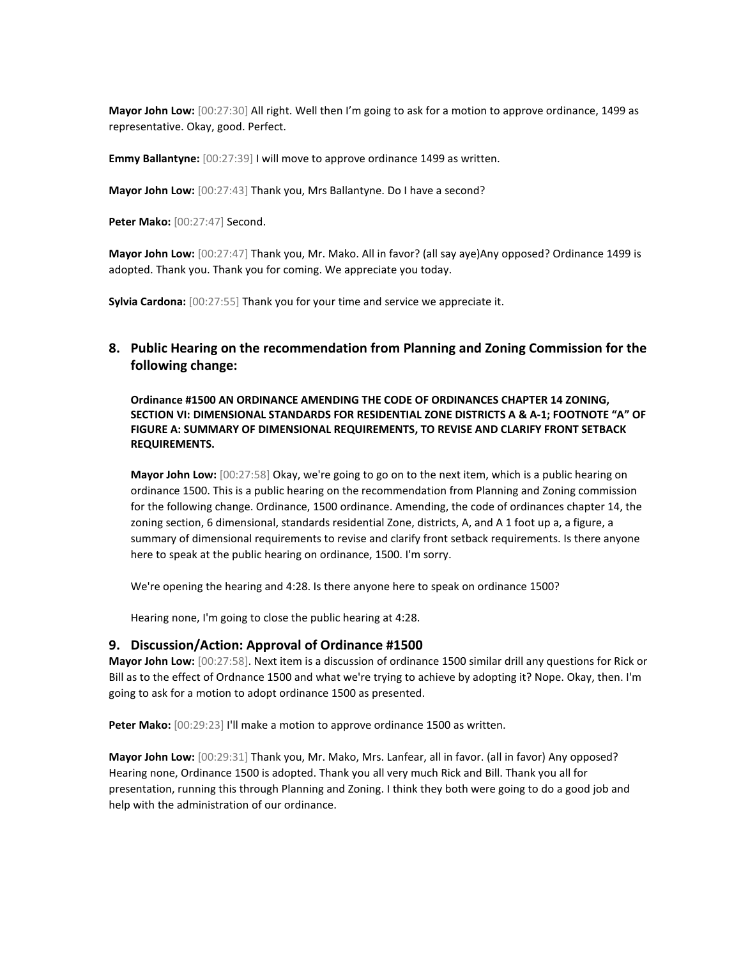**Mayor John Low:** [00:27:30] All right. Well then I'm going to ask for a motion to approve ordinance, 1499 as representative. Okay, good. Perfect.

**Emmy Ballantyne:** [00:27:39] I will move to approve ordinance 1499 as written.

**Mayor John Low:** [00:27:43] Thank you, Mrs Ballantyne. Do I have a second?

**Peter Mako:** [00:27:47] Second.

**Mayor John Low:** [00:27:47] Thank you, Mr. Mako. All in favor? (all say aye)Any opposed? Ordinance 1499 is adopted. Thank you. Thank you for coming. We appreciate you today.

**Sylvia Cardona:** [00:27:55] Thank you for your time and service we appreciate it.

# **8. Public Hearing on the recommendation from Planning and Zoning Commission for the following change:**

**Ordinance #1500 AN ORDINANCE AMENDING THE CODE OF ORDINANCES CHAPTER 14 ZONING, SECTION VI: DIMENSIONAL STANDARDS FOR RESIDENTIAL ZONE DISTRICTS A & A-1; FOOTNOTE "A" OF FIGURE A: SUMMARY OF DIMENSIONAL REQUIREMENTS, TO REVISE AND CLARIFY FRONT SETBACK REQUIREMENTS.**

**Mayor John Low:** [00:27:58] Okay, we're going to go on to the next item, which is a public hearing on ordinance 1500. This is a public hearing on the recommendation from Planning and Zoning commission for the following change. Ordinance, 1500 ordinance. Amending, the code of ordinances chapter 14, the zoning section, 6 dimensional, standards residential Zone, districts, A, and A 1 foot up a, a figure, a summary of dimensional requirements to revise and clarify front setback requirements. Is there anyone here to speak at the public hearing on ordinance, 1500. I'm sorry.

We're opening the hearing and 4:28. Is there anyone here to speak on ordinance 1500?

Hearing none, I'm going to close the public hearing at 4:28.

### **9. Discussion/Action: Approval of Ordinance #1500**

**Mayor John Low:** [00:27:58]. Next item is a discussion of ordinance 1500 similar drill any questions for Rick or Bill as to the effect of Ordnance 1500 and what we're trying to achieve by adopting it? Nope. Okay, then. I'm going to ask for a motion to adopt ordinance 1500 as presented.

Peter Mako: [00:29:23] I'll make a motion to approve ordinance 1500 as written.

**Mayor John Low:** [00:29:31] Thank you, Mr. Mako, Mrs. Lanfear, all in favor. (all in favor) Any opposed? Hearing none, Ordinance 1500 is adopted. Thank you all very much Rick and Bill. Thank you all for presentation, running this through Planning and Zoning. I think they both were going to do a good job and help with the administration of our ordinance.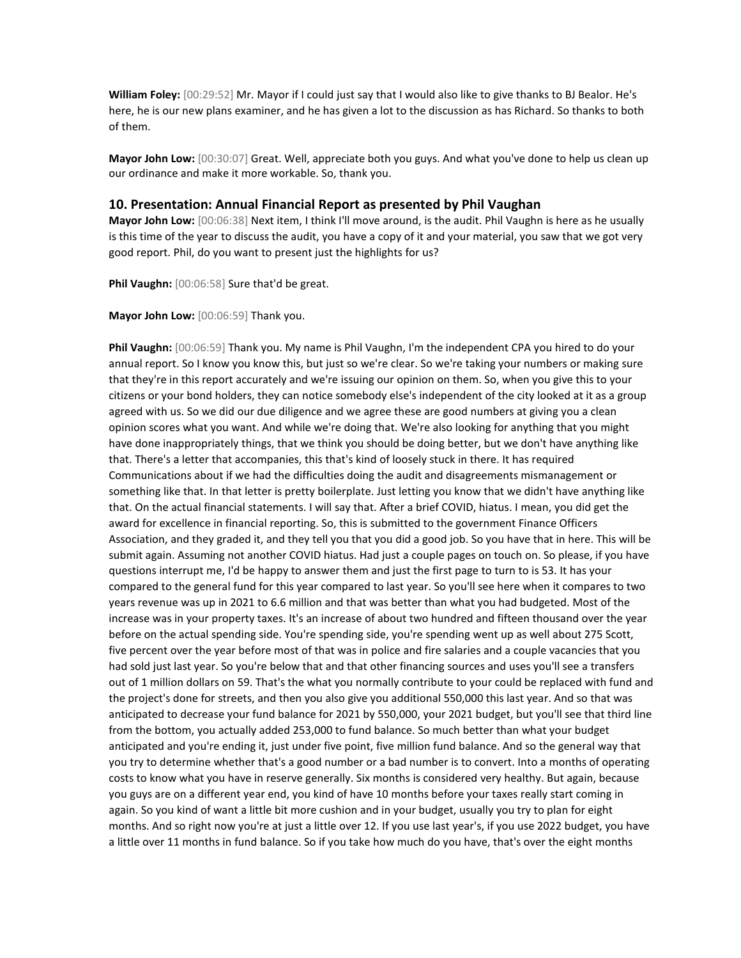**William Foley:** [00:29:52] Mr. Mayor if I could just say that I would also like to give thanks to BJ Bealor. He's here, he is our new plans examiner, and he has given a lot to the discussion as has Richard. So thanks to both of them.

**Mayor John Low:** [00:30:07] Great. Well, appreciate both you guys. And what you've done to help us clean up our ordinance and make it more workable. So, thank you.

#### **10. Presentation: Annual Financial Report as presented by Phil Vaughan**

**Mayor John Low:** [00:06:38] Next item, I think I'll move around, is the audit. Phil Vaughn is here as he usually is this time of the year to discuss the audit, you have a copy of it and your material, you saw that we got very good report. Phil, do you want to present just the highlights for us?

**Phil Vaughn:** [00:06:58] Sure that'd be great.

**Mayor John Low:** [00:06:59] Thank you.

**Phil Vaughn:** [00:06:59] Thank you. My name is Phil Vaughn, I'm the independent CPA you hired to do your annual report. So I know you know this, but just so we're clear. So we're taking your numbers or making sure that they're in this report accurately and we're issuing our opinion on them. So, when you give this to your citizens or your bond holders, they can notice somebody else's independent of the city looked at it as a group agreed with us. So we did our due diligence and we agree these are good numbers at giving you a clean opinion scores what you want. And while we're doing that. We're also looking for anything that you might have done inappropriately things, that we think you should be doing better, but we don't have anything like that. There's a letter that accompanies, this that's kind of loosely stuck in there. It has required Communications about if we had the difficulties doing the audit and disagreements mismanagement or something like that. In that letter is pretty boilerplate. Just letting you know that we didn't have anything like that. On the actual financial statements. I will say that. After a brief COVID, hiatus. I mean, you did get the award for excellence in financial reporting. So, this is submitted to the government Finance Officers Association, and they graded it, and they tell you that you did a good job. So you have that in here. This will be submit again. Assuming not another COVID hiatus. Had just a couple pages on touch on. So please, if you have questions interrupt me, I'd be happy to answer them and just the first page to turn to is 53. It has your compared to the general fund for this year compared to last year. So you'll see here when it compares to two years revenue was up in 2021 to 6.6 million and that was better than what you had budgeted. Most of the increase was in your property taxes. It's an increase of about two hundred and fifteen thousand over the year before on the actual spending side. You're spending side, you're spending went up as well about 275 Scott, five percent over the year before most of that was in police and fire salaries and a couple vacancies that you had sold just last year. So you're below that and that other financing sources and uses you'll see a transfers out of 1 million dollars on 59. That's the what you normally contribute to your could be replaced with fund and the project's done for streets, and then you also give you additional 550,000 this last year. And so that was anticipated to decrease your fund balance for 2021 by 550,000, your 2021 budget, but you'll see that third line from the bottom, you actually added 253,000 to fund balance. So much better than what your budget anticipated and you're ending it, just under five point, five million fund balance. And so the general way that you try to determine whether that's a good number or a bad number is to convert. Into a months of operating costs to know what you have in reserve generally. Six months is considered very healthy. But again, because you guys are on a different year end, you kind of have 10 months before your taxes really start coming in again. So you kind of want a little bit more cushion and in your budget, usually you try to plan for eight months. And so right now you're at just a little over 12. If you use last year's, if you use 2022 budget, you have a little over 11 months in fund balance. So if you take how much do you have, that's over the eight months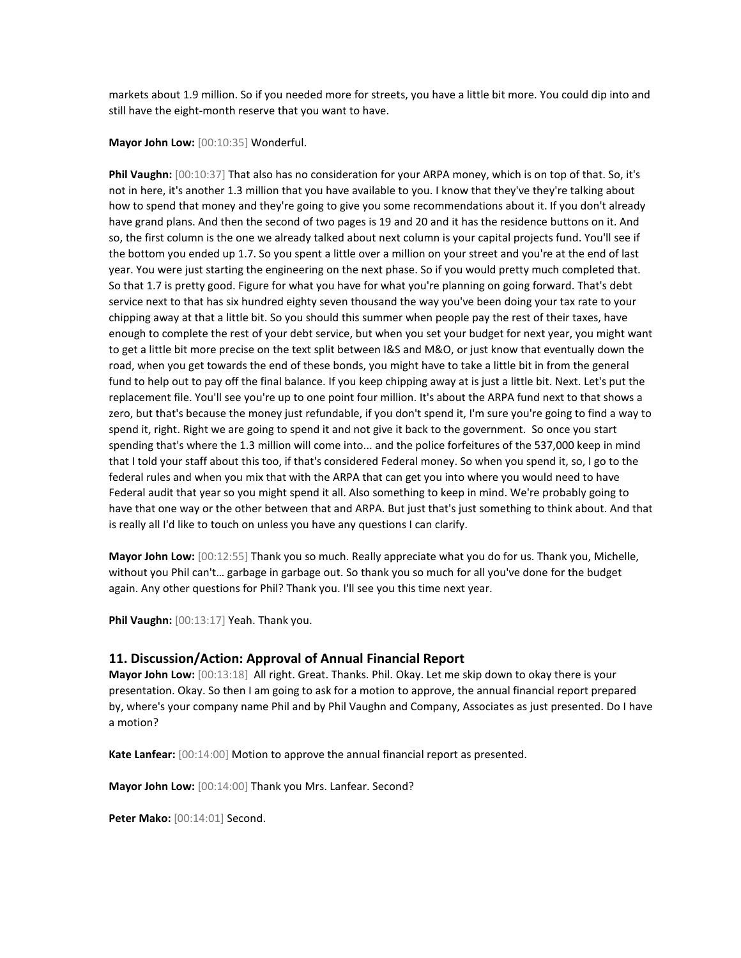markets about 1.9 million. So if you needed more for streets, you have a little bit more. You could dip into and still have the eight-month reserve that you want to have.

#### **Mayor John Low:** [00:10:35] Wonderful.

**Phil Vaughn:** [00:10:37] That also has no consideration for your ARPA money, which is on top of that. So, it's not in here, it's another 1.3 million that you have available to you. I know that they've they're talking about how to spend that money and they're going to give you some recommendations about it. If you don't already have grand plans. And then the second of two pages is 19 and 20 and it has the residence buttons on it. And so, the first column is the one we already talked about next column is your capital projects fund. You'll see if the bottom you ended up 1.7. So you spent a little over a million on your street and you're at the end of last year. You were just starting the engineering on the next phase. So if you would pretty much completed that. So that 1.7 is pretty good. Figure for what you have for what you're planning on going forward. That's debt service next to that has six hundred eighty seven thousand the way you've been doing your tax rate to your chipping away at that a little bit. So you should this summer when people pay the rest of their taxes, have enough to complete the rest of your debt service, but when you set your budget for next year, you might want to get a little bit more precise on the text split between I&S and M&O, or just know that eventually down the road, when you get towards the end of these bonds, you might have to take a little bit in from the general fund to help out to pay off the final balance. If you keep chipping away at is just a little bit. Next. Let's put the replacement file. You'll see you're up to one point four million. It's about the ARPA fund next to that shows a zero, but that's because the money just refundable, if you don't spend it, I'm sure you're going to find a way to spend it, right. Right we are going to spend it and not give it back to the government. So once you start spending that's where the 1.3 million will come into... and the police forfeitures of the 537,000 keep in mind that I told your staff about this too, if that's considered Federal money. So when you spend it, so, I go to the federal rules and when you mix that with the ARPA that can get you into where you would need to have Federal audit that year so you might spend it all. Also something to keep in mind. We're probably going to have that one way or the other between that and ARPA. But just that's just something to think about. And that is really all I'd like to touch on unless you have any questions I can clarify.

**Mayor John Low:** [00:12:55] Thank you so much. Really appreciate what you do for us. Thank you, Michelle, without you Phil can't… garbage in garbage out. So thank you so much for all you've done for the budget again. Any other questions for Phil? Thank you. I'll see you this time next year.

**Phil Vaughn:** [00:13:17] Yeah. Thank you.

#### **11. Discussion/Action: Approval of Annual Financial Report**

**Mayor John Low:** [00:13:18] All right. Great. Thanks. Phil. Okay. Let me skip down to okay there is your presentation. Okay. So then I am going to ask for a motion to approve, the annual financial report prepared by, where's your company name Phil and by Phil Vaughn and Company, Associates as just presented. Do I have a motion?

**Kate Lanfear:** [00:14:00] Motion to approve the annual financial report as presented.

**Mayor John Low:** [00:14:00] Thank you Mrs. Lanfear. Second?

**Peter Mako:** [00:14:01] Second.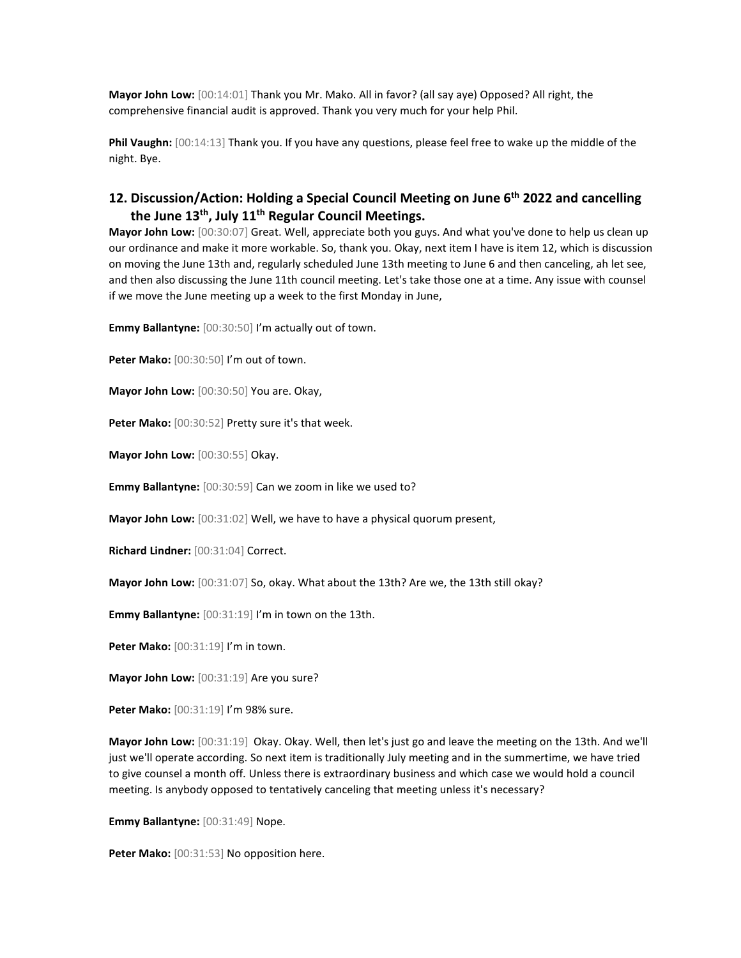**Mayor John Low:** [00:14:01] Thank you Mr. Mako. All in favor? (all say aye) Opposed? All right, the comprehensive financial audit is approved. Thank you very much for your help Phil.

**Phil Vaughn:** [00:14:13] Thank you. If you have any questions, please feel free to wake up the middle of the night. Bye.

# **12. Discussion/Action: Holding a Special Council Meeting on June 6th 2022 and cancelling the June 13th, July 11th Regular Council Meetings.**

**Mayor John Low:** [00:30:07] Great. Well, appreciate both you guys. And what you've done to help us clean up our ordinance and make it more workable. So, thank you. Okay, next item I have is item 12, which is discussion on moving the June 13th and, regularly scheduled June 13th meeting to June 6 and then canceling, ah let see, and then also discussing the June 11th council meeting. Let's take those one at a time. Any issue with counsel if we move the June meeting up a week to the first Monday in June,

**Emmy Ballantyne:** [00:30:50] I'm actually out of town.

**Peter Mako:** [00:30:50] I'm out of town.

**Mayor John Low:** [00:30:50] You are. Okay,

Peter Mako: [00:30:52] Pretty sure it's that week.

**Mayor John Low:** [00:30:55] Okay.

**Emmy Ballantyne:** [00:30:59] Can we zoom in like we used to?

**Mayor John Low:** [00:31:02] Well, we have to have a physical quorum present,

**Richard Lindner:** [00:31:04] Correct.

**Mayor John Low:** [00:31:07] So, okay. What about the 13th? Are we, the 13th still okay?

**Emmy Ballantyne:** [00:31:19] I'm in town on the 13th.

**Peter Mako:** [00:31:19] I'm in town.

**Mayor John Low:** [00:31:19] Are you sure?

**Peter Mako:** [00:31:19] I'm 98% sure.

**Mayor John Low:** [00:31:19] Okay. Okay. Well, then let's just go and leave the meeting on the 13th. And we'll just we'll operate according. So next item is traditionally July meeting and in the summertime, we have tried to give counsel a month off. Unless there is extraordinary business and which case we would hold a council meeting. Is anybody opposed to tentatively canceling that meeting unless it's necessary?

**Emmy Ballantyne:** [00:31:49] Nope.

Peter Mako: [00:31:53] No opposition here.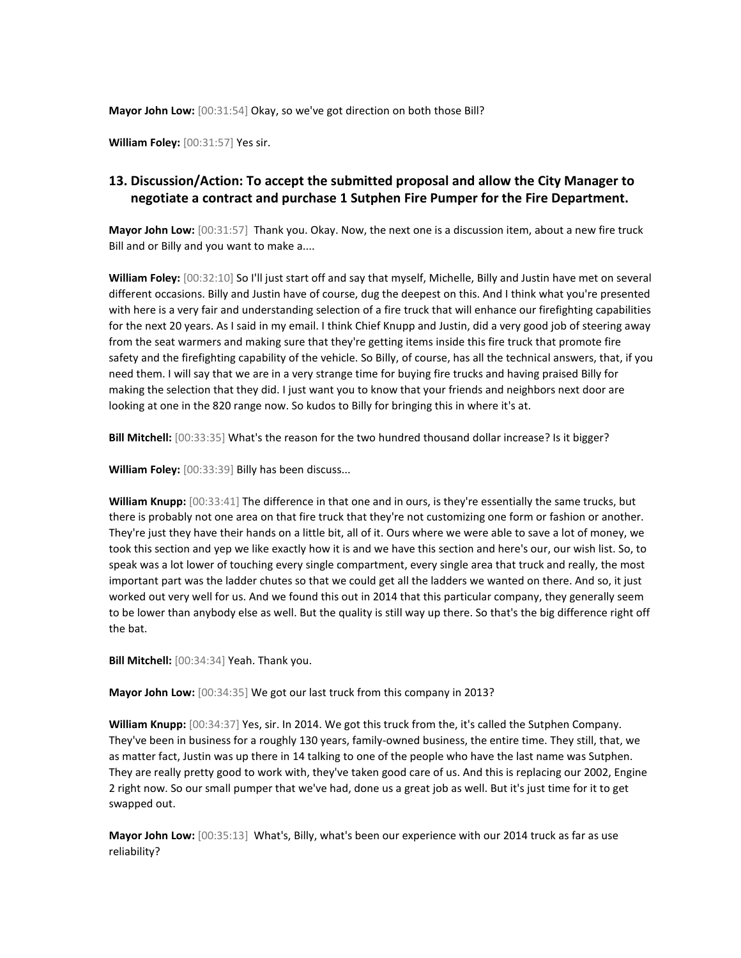**Mayor John Low:** [00:31:54] Okay, so we've got direction on both those Bill?

**William Foley:** [00:31:57] Yes sir.

# **13. Discussion/Action: To accept the submitted proposal and allow the City Manager to negotiate a contract and purchase 1 Sutphen Fire Pumper for the Fire Department.**

**Mayor John Low:** [00:31:57] Thank you. Okay. Now, the next one is a discussion item, about a new fire truck Bill and or Billy and you want to make a....

**William Foley:** [00:32:10] So I'll just start off and say that myself, Michelle, Billy and Justin have met on several different occasions. Billy and Justin have of course, dug the deepest on this. And I think what you're presented with here is a very fair and understanding selection of a fire truck that will enhance our firefighting capabilities for the next 20 years. As I said in my email. I think Chief Knupp and Justin, did a very good job of steering away from the seat warmers and making sure that they're getting items inside this fire truck that promote fire safety and the firefighting capability of the vehicle. So Billy, of course, has all the technical answers, that, if you need them. I will say that we are in a very strange time for buying fire trucks and having praised Billy for making the selection that they did. I just want you to know that your friends and neighbors next door are looking at one in the 820 range now. So kudos to Billy for bringing this in where it's at.

**Bill Mitchell:** [00:33:35] What's the reason for the two hundred thousand dollar increase? Is it bigger?

**William Foley:** [00:33:39] Billy has been discuss...

**William Knupp:** [00:33:41] The difference in that one and in ours, is they're essentially the same trucks, but there is probably not one area on that fire truck that they're not customizing one form or fashion or another. They're just they have their hands on a little bit, all of it. Ours where we were able to save a lot of money, we took this section and yep we like exactly how it is and we have this section and here's our, our wish list. So, to speak was a lot lower of touching every single compartment, every single area that truck and really, the most important part was the ladder chutes so that we could get all the ladders we wanted on there. And so, it just worked out very well for us. And we found this out in 2014 that this particular company, they generally seem to be lower than anybody else as well. But the quality is still way up there. So that's the big difference right off the bat.

**Bill Mitchell:** [00:34:34] Yeah. Thank you.

**Mayor John Low:** [00:34:35] We got our last truck from this company in 2013?

**William Knupp:** [00:34:37] Yes, sir. In 2014. We got this truck from the, it's called the Sutphen Company. They've been in business for a roughly 130 years, family-owned business, the entire time. They still, that, we as matter fact, Justin was up there in 14 talking to one of the people who have the last name was Sutphen. They are really pretty good to work with, they've taken good care of us. And this is replacing our 2002, Engine 2 right now. So our small pumper that we've had, done us a great job as well. But it's just time for it to get swapped out.

**Mayor John Low:** [00:35:13] What's, Billy, what's been our experience with our 2014 truck as far as use reliability?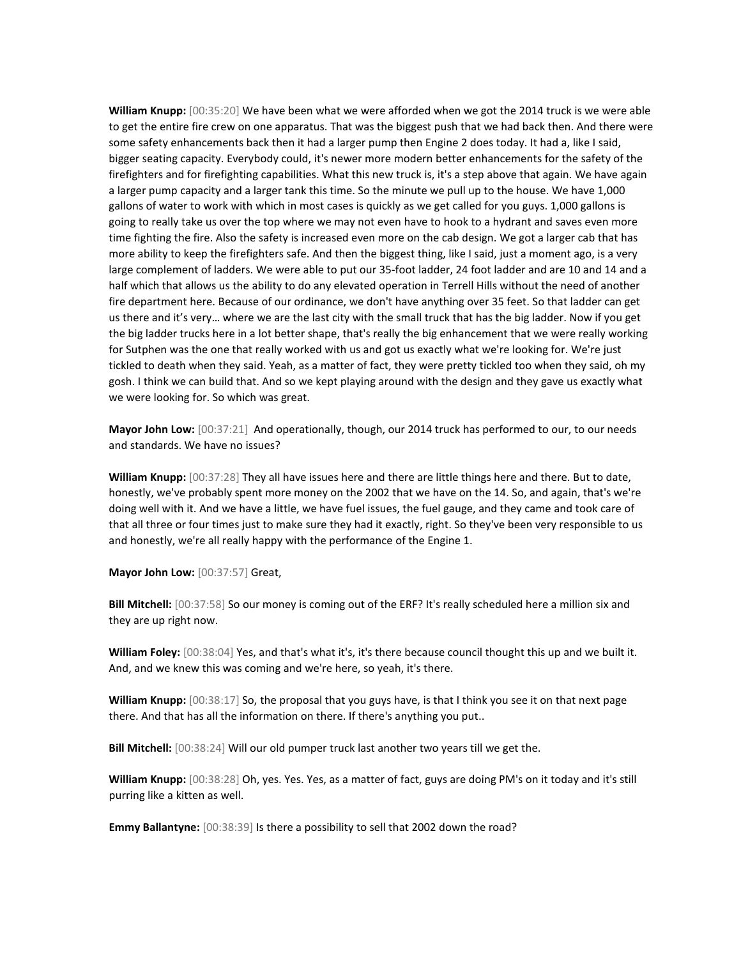**William Knupp:** [00:35:20] We have been what we were afforded when we got the 2014 truck is we were able to get the entire fire crew on one apparatus. That was the biggest push that we had back then. And there were some safety enhancements back then it had a larger pump then Engine 2 does today. It had a, like I said, bigger seating capacity. Everybody could, it's newer more modern better enhancements for the safety of the firefighters and for firefighting capabilities. What this new truck is, it's a step above that again. We have again a larger pump capacity and a larger tank this time. So the minute we pull up to the house. We have 1,000 gallons of water to work with which in most cases is quickly as we get called for you guys. 1,000 gallons is going to really take us over the top where we may not even have to hook to a hydrant and saves even more time fighting the fire. Also the safety is increased even more on the cab design. We got a larger cab that has more ability to keep the firefighters safe. And then the biggest thing, like I said, just a moment ago, is a very large complement of ladders. We were able to put our 35-foot ladder, 24 foot ladder and are 10 and 14 and a half which that allows us the ability to do any elevated operation in Terrell Hills without the need of another fire department here. Because of our ordinance, we don't have anything over 35 feet. So that ladder can get us there and it's very… where we are the last city with the small truck that has the big ladder. Now if you get the big ladder trucks here in a lot better shape, that's really the big enhancement that we were really working for Sutphen was the one that really worked with us and got us exactly what we're looking for. We're just tickled to death when they said. Yeah, as a matter of fact, they were pretty tickled too when they said, oh my gosh. I think we can build that. And so we kept playing around with the design and they gave us exactly what we were looking for. So which was great.

**Mayor John Low:** [00:37:21] And operationally, though, our 2014 truck has performed to our, to our needs and standards. We have no issues?

**William Knupp:** [00:37:28] They all have issues here and there are little things here and there. But to date, honestly, we've probably spent more money on the 2002 that we have on the 14. So, and again, that's we're doing well with it. And we have a little, we have fuel issues, the fuel gauge, and they came and took care of that all three or four times just to make sure they had it exactly, right. So they've been very responsible to us and honestly, we're all really happy with the performance of the Engine 1.

**Mayor John Low:** [00:37:57] Great,

**Bill Mitchell:** [00:37:58] So our money is coming out of the ERF? It's really scheduled here a million six and they are up right now.

**William Foley:** [00:38:04] Yes, and that's what it's, it's there because council thought this up and we built it. And, and we knew this was coming and we're here, so yeah, it's there.

**William Knupp:** [00:38:17] So, the proposal that you guys have, is that I think you see it on that next page there. And that has all the information on there. If there's anything you put..

**Bill Mitchell:** [00:38:24] Will our old pumper truck last another two years till we get the.

**William Knupp:** [00:38:28] Oh, yes. Yes. Yes, as a matter of fact, guys are doing PM's on it today and it's still purring like a kitten as well.

**Emmy Ballantyne:** [00:38:39] Is there a possibility to sell that 2002 down the road?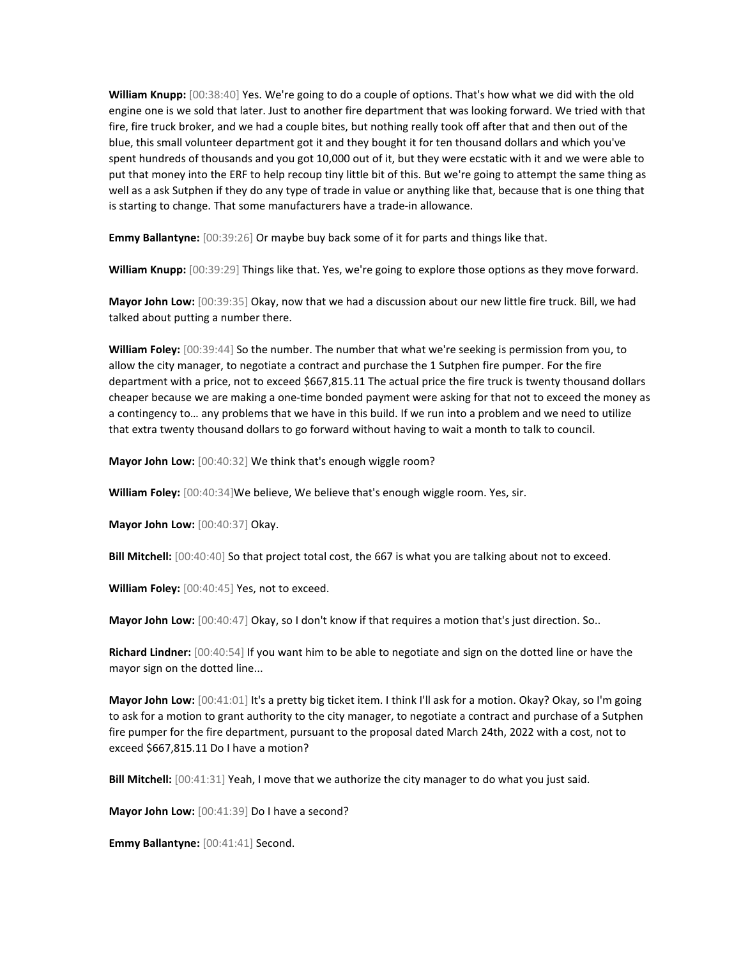**William Knupp:** [00:38:40] Yes. We're going to do a couple of options. That's how what we did with the old engine one is we sold that later. Just to another fire department that was looking forward. We tried with that fire, fire truck broker, and we had a couple bites, but nothing really took off after that and then out of the blue, this small volunteer department got it and they bought it for ten thousand dollars and which you've spent hundreds of thousands and you got 10,000 out of it, but they were ecstatic with it and we were able to put that money into the ERF to help recoup tiny little bit of this. But we're going to attempt the same thing as well as a ask Sutphen if they do any type of trade in value or anything like that, because that is one thing that is starting to change. That some manufacturers have a trade-in allowance.

**Emmy Ballantyne:** [00:39:26] Or maybe buy back some of it for parts and things like that.

**William Knupp:** [00:39:29] Things like that. Yes, we're going to explore those options as they move forward.

**Mayor John Low:** [00:39:35] Okay, now that we had a discussion about our new little fire truck. Bill, we had talked about putting a number there.

**William Foley:** [00:39:44] So the number. The number that what we're seeking is permission from you, to allow the city manager, to negotiate a contract and purchase the 1 Sutphen fire pumper. For the fire department with a price, not to exceed \$667,815.11 The actual price the fire truck is twenty thousand dollars cheaper because we are making a one-time bonded payment were asking for that not to exceed the money as a contingency to… any problems that we have in this build. If we run into a problem and we need to utilize that extra twenty thousand dollars to go forward without having to wait a month to talk to council.

**Mayor John Low:** [00:40:32] We think that's enough wiggle room?

**William Foley:** [00:40:34]We believe, We believe that's enough wiggle room. Yes, sir.

**Mayor John Low:** [00:40:37] Okay.

**Bill Mitchell:** [00:40:40] So that project total cost, the 667 is what you are talking about not to exceed.

**William Foley:** [00:40:45] Yes, not to exceed.

**Mayor John Low:** [00:40:47] Okay, so I don't know if that requires a motion that's just direction. So..

**Richard Lindner:** [00:40:54] If you want him to be able to negotiate and sign on the dotted line or have the mayor sign on the dotted line...

**Mayor John Low:** [00:41:01] It's a pretty big ticket item. I think I'll ask for a motion. Okay? Okay, so I'm going to ask for a motion to grant authority to the city manager, to negotiate a contract and purchase of a Sutphen fire pumper for the fire department, pursuant to the proposal dated March 24th, 2022 with a cost, not to exceed \$667,815.11 Do I have a motion?

**Bill Mitchell:** [00:41:31] Yeah, I move that we authorize the city manager to do what you just said.

**Mayor John Low:** [00:41:39] Do I have a second?

**Emmy Ballantyne:** [00:41:41] Second.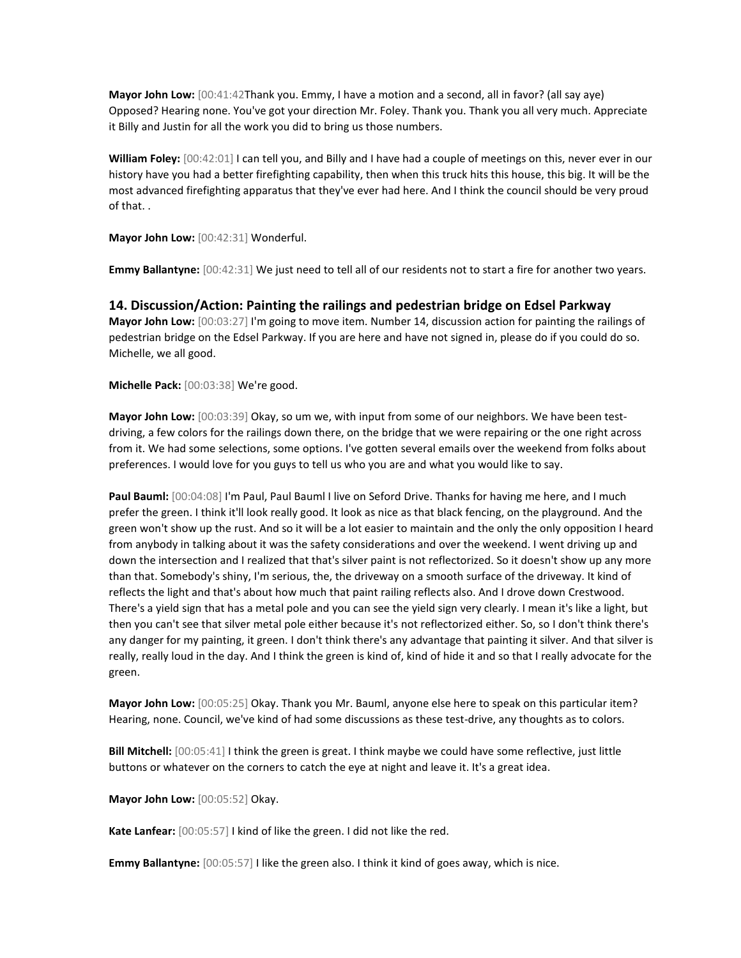**Mayor John Low:** [00:41:42Thank you. Emmy, I have a motion and a second, all in favor? (all say aye) Opposed? Hearing none. You've got your direction Mr. Foley. Thank you. Thank you all very much. Appreciate it Billy and Justin for all the work you did to bring us those numbers.

**William Foley:** [00:42:01] I can tell you, and Billy and I have had a couple of meetings on this, never ever in our history have you had a better firefighting capability, then when this truck hits this house, this big. It will be the most advanced firefighting apparatus that they've ever had here. And I think the council should be very proud of that. .

**Mayor John Low:** [00:42:31] Wonderful.

**Emmy Ballantyne:** [00:42:31] We just need to tell all of our residents not to start a fire for another two years.

**14. Discussion/Action: Painting the railings and pedestrian bridge on Edsel Parkway Mayor John Low:** [00:03:27] I'm going to move item. Number 14, discussion action for painting the railings of pedestrian bridge on the Edsel Parkway. If you are here and have not signed in, please do if you could do so. Michelle, we all good.

**Michelle Pack:** [00:03:38] We're good.

**Mayor John Low:** [00:03:39] Okay, so um we, with input from some of our neighbors. We have been testdriving, a few colors for the railings down there, on the bridge that we were repairing or the one right across from it. We had some selections, some options. I've gotten several emails over the weekend from folks about preferences. I would love for you guys to tell us who you are and what you would like to say.

**Paul Bauml:** [00:04:08] I'm Paul, Paul Bauml I live on Seford Drive. Thanks for having me here, and I much prefer the green. I think it'll look really good. It look as nice as that black fencing, on the playground. And the green won't show up the rust. And so it will be a lot easier to maintain and the only the only opposition I heard from anybody in talking about it was the safety considerations and over the weekend. I went driving up and down the intersection and I realized that that's silver paint is not reflectorized. So it doesn't show up any more than that. Somebody's shiny, I'm serious, the, the driveway on a smooth surface of the driveway. It kind of reflects the light and that's about how much that paint railing reflects also. And I drove down Crestwood. There's a yield sign that has a metal pole and you can see the yield sign very clearly. I mean it's like a light, but then you can't see that silver metal pole either because it's not reflectorized either. So, so I don't think there's any danger for my painting, it green. I don't think there's any advantage that painting it silver. And that silver is really, really loud in the day. And I think the green is kind of, kind of hide it and so that I really advocate for the green.

**Mayor John Low:** [00:05:25] Okay. Thank you Mr. Bauml, anyone else here to speak on this particular item? Hearing, none. Council, we've kind of had some discussions as these test-drive, any thoughts as to colors.

**Bill Mitchell:** [00:05:41] I think the green is great. I think maybe we could have some reflective, just little buttons or whatever on the corners to catch the eye at night and leave it. It's a great idea.

**Mayor John Low:** [00:05:52] Okay.

**Kate Lanfear:** [00:05:57] I kind of like the green. I did not like the red.

**Emmy Ballantyne:** [00:05:57] I like the green also. I think it kind of goes away, which is nice.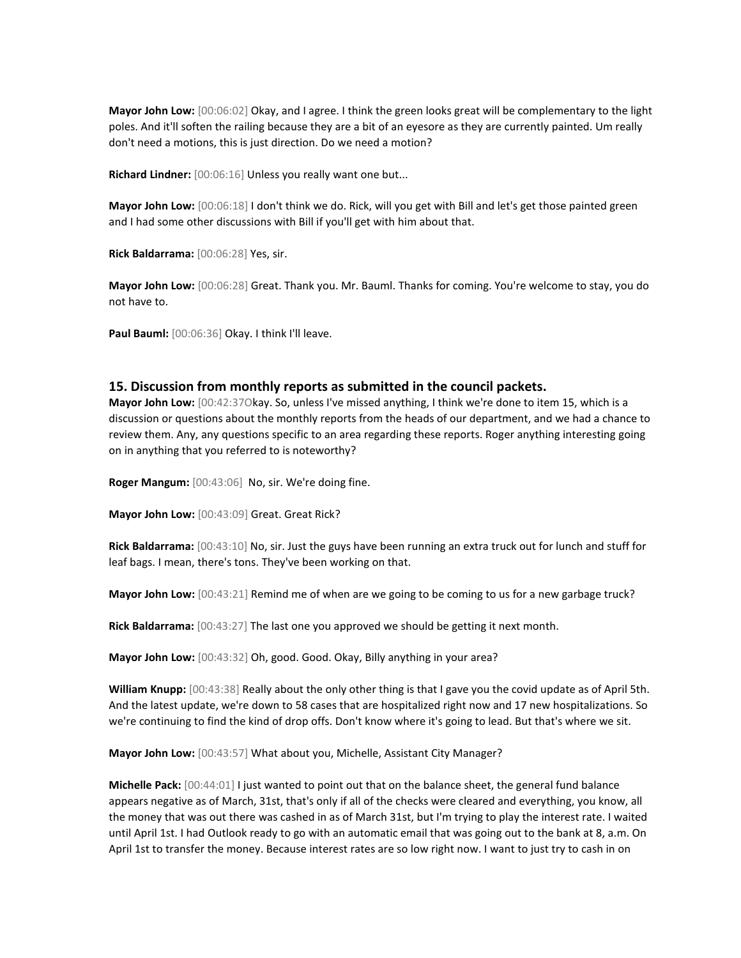**Mayor John Low:** [00:06:02] Okay, and I agree. I think the green looks great will be complementary to the light poles. And it'll soften the railing because they are a bit of an eyesore as they are currently painted. Um really don't need a motions, this is just direction. Do we need a motion?

**Richard Lindner:** [00:06:16] Unless you really want one but...

**Mayor John Low:** [00:06:18] I don't think we do. Rick, will you get with Bill and let's get those painted green and I had some other discussions with Bill if you'll get with him about that.

**Rick Baldarrama:** [00:06:28] Yes, sir.

**Mayor John Low:** [00:06:28] Great. Thank you. Mr. Bauml. Thanks for coming. You're welcome to stay, you do not have to.

**Paul Bauml:** [00:06:36] Okay. I think I'll leave.

#### **15. Discussion from monthly reports as submitted in the council packets.**

**Mayor John Low:** [00:42:37Okay. So, unless I've missed anything, I think we're done to item 15, which is a discussion or questions about the monthly reports from the heads of our department, and we had a chance to review them. Any, any questions specific to an area regarding these reports. Roger anything interesting going on in anything that you referred to is noteworthy?

**Roger Mangum:** [00:43:06] No, sir. We're doing fine.

**Mayor John Low:** [00:43:09] Great. Great Rick?

**Rick Baldarrama:** [00:43:10] No, sir. Just the guys have been running an extra truck out for lunch and stuff for leaf bags. I mean, there's tons. They've been working on that.

**Mayor John Low:** [00:43:21] Remind me of when are we going to be coming to us for a new garbage truck?

**Rick Baldarrama:** [00:43:27] The last one you approved we should be getting it next month.

**Mayor John Low:** [00:43:32] Oh, good. Good. Okay, Billy anything in your area?

**William Knupp:** [00:43:38] Really about the only other thing is that I gave you the covid update as of April 5th. And the latest update, we're down to 58 cases that are hospitalized right now and 17 new hospitalizations. So we're continuing to find the kind of drop offs. Don't know where it's going to lead. But that's where we sit.

**Mayor John Low:** [00:43:57] What about you, Michelle, Assistant City Manager?

**Michelle Pack:** [00:44:01] I just wanted to point out that on the balance sheet, the general fund balance appears negative as of March, 31st, that's only if all of the checks were cleared and everything, you know, all the money that was out there was cashed in as of March 31st, but I'm trying to play the interest rate. I waited until April 1st. I had Outlook ready to go with an automatic email that was going out to the bank at 8, a.m. On April 1st to transfer the money. Because interest rates are so low right now. I want to just try to cash in on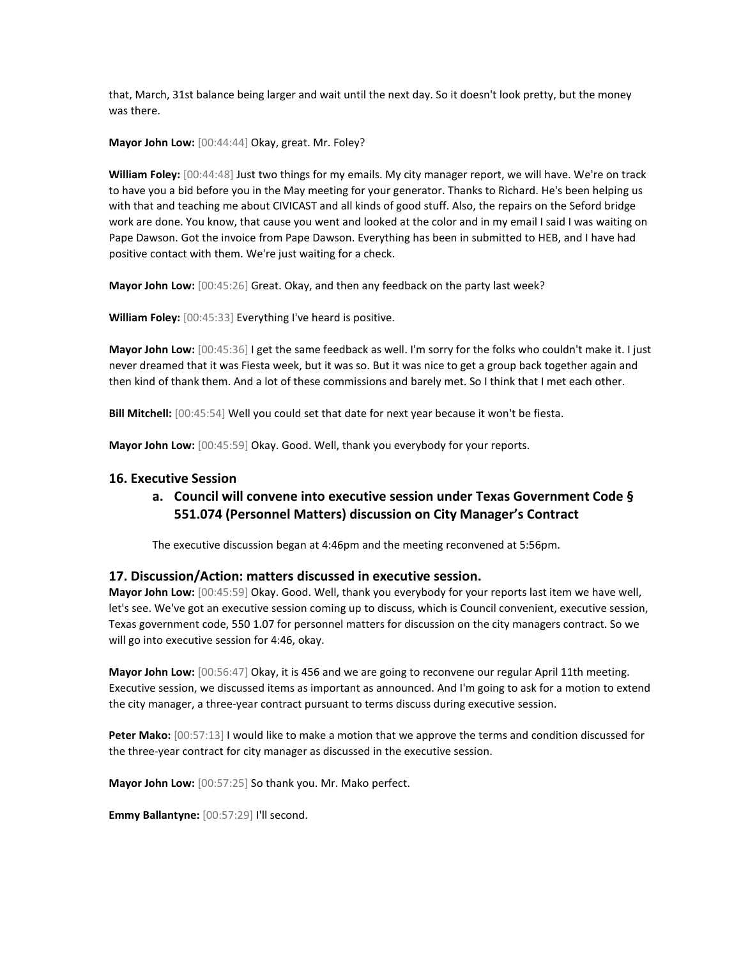that, March, 31st balance being larger and wait until the next day. So it doesn't look pretty, but the money was there.

**Mayor John Low:** [00:44:44] Okay, great. Mr. Foley?

**William Foley:** [00:44:48] Just two things for my emails. My city manager report, we will have. We're on track to have you a bid before you in the May meeting for your generator. Thanks to Richard. He's been helping us with that and teaching me about CIVICAST and all kinds of good stuff. Also, the repairs on the Seford bridge work are done. You know, that cause you went and looked at the color and in my email I said I was waiting on Pape Dawson. Got the invoice from Pape Dawson. Everything has been in submitted to HEB, and I have had positive contact with them. We're just waiting for a check.

**Mayor John Low:** [00:45:26] Great. Okay, and then any feedback on the party last week?

**William Foley:** [00:45:33] Everything I've heard is positive.

**Mayor John Low:** [00:45:36] I get the same feedback as well. I'm sorry for the folks who couldn't make it. I just never dreamed that it was Fiesta week, but it was so. But it was nice to get a group back together again and then kind of thank them. And a lot of these commissions and barely met. So I think that I met each other.

**Bill Mitchell:** [00:45:54] Well you could set that date for next year because it won't be fiesta.

**Mayor John Low:** [00:45:59] Okay. Good. Well, thank you everybody for your reports.

### **16. Executive Session**

# **a. Council will convene into executive session under Texas Government Code § 551.074 (Personnel Matters) discussion on City Manager's Contract**

The executive discussion began at 4:46pm and the meeting reconvened at 5:56pm.

#### **17. Discussion/Action: matters discussed in executive session.**

**Mayor John Low:** [00:45:59] Okay. Good. Well, thank you everybody for your reports last item we have well, let's see. We've got an executive session coming up to discuss, which is Council convenient, executive session, Texas government code, 550 1.07 for personnel matters for discussion on the city managers contract. So we will go into executive session for 4:46, okay.

**Mayor John Low:** [00:56:47] Okay, it is 456 and we are going to reconvene our regular April 11th meeting. Executive session, we discussed items as important as announced. And I'm going to ask for a motion to extend the city manager, a three-year contract pursuant to terms discuss during executive session.

**Peter Mako:** [00:57:13] I would like to make a motion that we approve the terms and condition discussed for the three-year contract for city manager as discussed in the executive session.

**Mayor John Low:** [00:57:25] So thank you. Mr. Mako perfect.

**Emmy Ballantyne:** [00:57:29] I'll second.